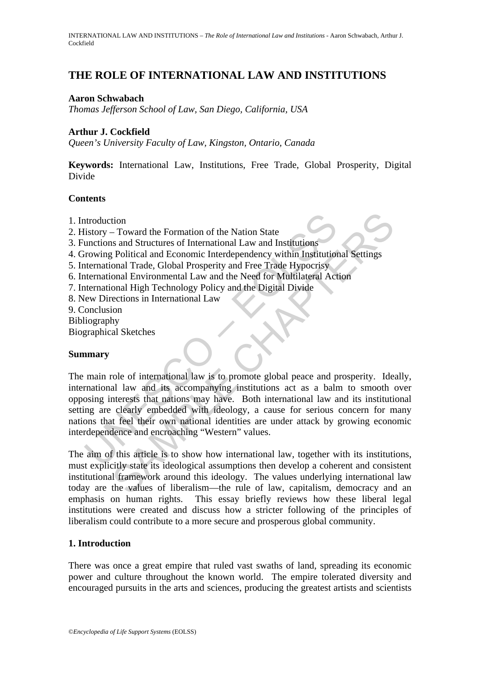# **THE ROLE OF INTERNATIONAL LAW AND INSTITUTIONS**

### **Aaron Schwabach**

*Thomas Jefferson School of Law, San Diego, California, USA* 

## **Arthur J. Cockfield**

*Queen's University Faculty of Law, Kingston, Ontario, Canada* 

**Keywords:** International Law, Institutions, Free Trade, Global Prosperity, Digital Divide

### **Contents**

- 1. Introduction
- 2. History Toward the Formation of the Nation State
- 3. Functions and Structures of International Law and Institutions
- 4. Growing Political and Economic Interdependency within Institutional Settings
- 5. International Trade, Global Prosperity and Free Trade Hypocrisy
- 6. International Environmental Law and the Need for Multilateral Action
- 7. International High Technology Policy and the Digital Divide
- 8. New Directions in International Law
- 9. Conclusion
- Bibliography
- Biographical Sketches

### **Summary**

ntroduction<br>
distory – Toward the Formation of the Nation State<br>
unctions and Structures of International Law and Institutions<br>
trowing Political and Economic Interdependency within Institution<br>
tremational Trade, Global P tion<br>
as and Structures of International Law and Institutions<br>
as and Structures of International Law and Institutions<br>
Political and Economic Interdependency within Institutional Settings<br>
onal Trade, Global Prosperity an The main role of international law is to promote global peace and prosperity. Ideally, international law and its accompanying institutions act as a balm to smooth over opposing interests that nations may have. Both international law and its institutional setting are clearly embedded with ideology, a cause for serious concern for many nations that feel their own national identities are under attack by growing economic interdependence and encroaching "Western" values.

The aim of this article is to show how international law, together with its institutions, must explicitly state its ideological assumptions then develop a coherent and consistent institutional framework around this ideology. The values underlying international law today are the values of liberalism—the rule of law, capitalism, democracy and an emphasis on human rights. This essay briefly reviews how these liberal legal institutions were created and discuss how a stricter following of the principles of liberalism could contribute to a more secure and prosperous global community.

# **1. Introduction**

There was once a great empire that ruled vast swaths of land, spreading its economic power and culture throughout the known world. The empire tolerated diversity and encouraged pursuits in the arts and sciences, producing the greatest artists and scientists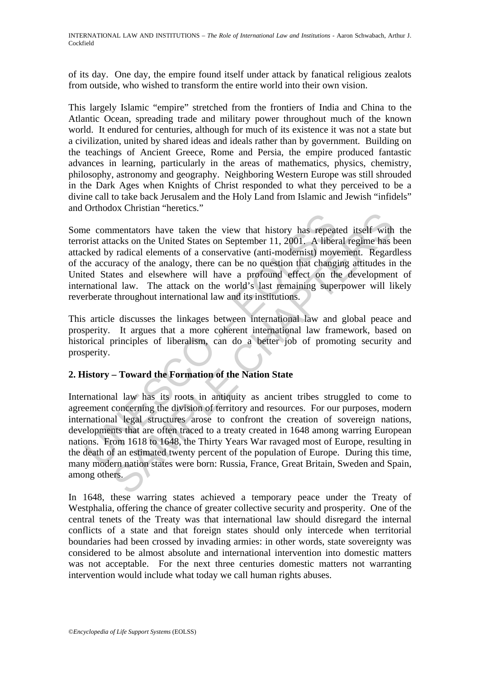of its day. One day, the empire found itself under attack by fanatical religious zealots from outside, who wished to transform the entire world into their own vision.

This largely Islamic "empire" stretched from the frontiers of India and China to the Atlantic Ocean, spreading trade and military power throughout much of the known world. It endured for centuries, although for much of its existence it was not a state but a civilization, united by shared ideas and ideals rather than by government. Building on the teachings of Ancient Greece, Rome and Persia, the empire produced fantastic advances in learning, particularly in the areas of mathematics, physics, chemistry, philosophy, astronomy and geography. Neighboring Western Europe was still shrouded in the Dark Ages when Knights of Christ responded to what they perceived to be a divine call to take back Jerusalem and the Holy Land from Islamic and Jewish "infidels" and Orthodox Christian "heretics."

ne commentators have taken the view that history has repeated by radical elements of a conservative (anti-modernist) movelevel by radical elements of a conservative (anti-modernist) movelevel concursory of the analogy, the Some commentators have taken the view that history has repeated itself with the terrorist attacks on the United States on September 11, 2001. A liberal regime has been attacked by radical elements of a conservative (anti-modernist) movement. Regardless of the accuracy of the analogy, there can be no question that changing attitudes in the United States and elsewhere will have a profound effect on the development of international law. The attack on the world's last remaining superpower will likely reverberate throughout international law and its institutions.

This article discusses the linkages between international law and global peace and prosperity. It argues that a more coherent international law framework, based on historical principles of liberalism, can do a better job of promoting security and prosperity.

# **2. History – Toward the Formation of the Nation State**

mentators have the view that history has repeated itself with<br>mentators have taken the view that history has repeated itself with<br>racks on the United States on September 11, 2001. A liberal regime has<br>a radical elements of International law has its roots in antiquity as ancient tribes struggled to come to agreement concerning the division of territory and resources. For our purposes, modern international legal structures arose to confront the creation of sovereign nations, developments that are often traced to a treaty created in 1648 among warring European nations. From 1618 to 1648, the Thirty Years War ravaged most of Europe, resulting in the death of an estimated twenty percent of the population of Europe. During this time, many modern nation states were born: Russia, France, Great Britain, Sweden and Spain, among others.

In 1648, these warring states achieved a temporary peace under the Treaty of Westphalia, offering the chance of greater collective security and prosperity. One of the central tenets of the Treaty was that international law should disregard the internal conflicts of a state and that foreign states should only intercede when territorial boundaries had been crossed by invading armies: in other words, state sovereignty was considered to be almost absolute and international intervention into domestic matters was not acceptable. For the next three centuries domestic matters not warranting intervention would include what today we call human rights abuses.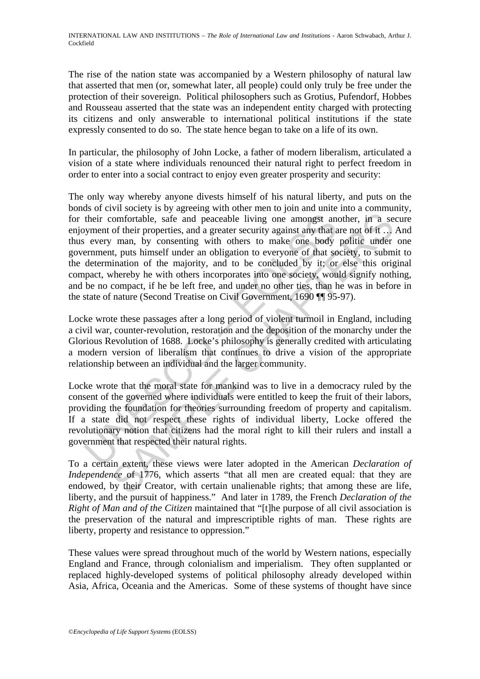The rise of the nation state was accompanied by a Western philosophy of natural law that asserted that men (or, somewhat later, all people) could only truly be free under the protection of their sovereign. Political philosophers such as Grotius, Pufendorf, Hobbes and Rousseau asserted that the state was an independent entity charged with protecting its citizens and only answerable to international political institutions if the state expressly consented to do so. The state hence began to take on a life of its own.

In particular, the philosophy of John Locke, a father of modern liberalism, articulated a vision of a state where individuals renounced their natural right to perfect freedom in order to enter into a social contract to enjoy even greater prosperity and security:

their comfortable, safe and peaceable living one amongst and wyment of their properties, and a greater security against any that a every man, by consenting with others to make one body ernment, puts himself under an obliga comfortable, safe and peaceable living one amongst another, in a set of their properties, and a greater security against any that are not of it..., man, by consenting with others to make one body politic under, th, tusts The only way whereby anyone divests himself of his natural liberty, and puts on the bonds of civil society is by agreeing with other men to join and unite into a community, for their comfortable, safe and peaceable living one amongst another, in a secure enjoyment of their properties, and a greater security against any that are not of it … And thus every man, by consenting with others to make one body politic under one government, puts himself under an obligation to everyone of that society, to submit to the determination of the majority, and to be concluded by it; or else this original compact, whereby he with others incorporates into one society, would signify nothing, and be no compact, if he be left free, and under no other ties, than he was in before in the state of nature (Second Treatise on Civil Government, 1690 ¶¶ 95-97).

Locke wrote these passages after a long period of violent turmoil in England, including a civil war, counter-revolution, restoration and the deposition of the monarchy under the Glorious Revolution of 1688. Locke's philosophy is generally credited with articulating a modern version of liberalism that continues to drive a vision of the appropriate relationship between an individual and the larger community.

Locke wrote that the moral state for mankind was to live in a democracy ruled by the consent of the governed where individuals were entitled to keep the fruit of their labors, providing the foundation for theories surrounding freedom of property and capitalism. If a state did not respect these rights of individual liberty, Locke offered the revolutionary notion that citizens had the moral right to kill their rulers and install a government that respected their natural rights.

To a certain extent, these views were later adopted in the American *Declaration of Independence* of 1776, which asserts "that all men are created equal: that they are endowed, by their Creator, with certain unalienable rights; that among these are life, liberty, and the pursuit of happiness." And later in 1789, the French *Declaration of the Right of Man and of the Citizen* maintained that "[t]he purpose of all civil association is the preservation of the natural and imprescriptible rights of man. These rights are liberty, property and resistance to oppression."

These values were spread throughout much of the world by Western nations, especially England and France, through colonialism and imperialism. They often supplanted or replaced highly-developed systems of political philosophy already developed within Asia, Africa, Oceania and the Americas. Some of these systems of thought have since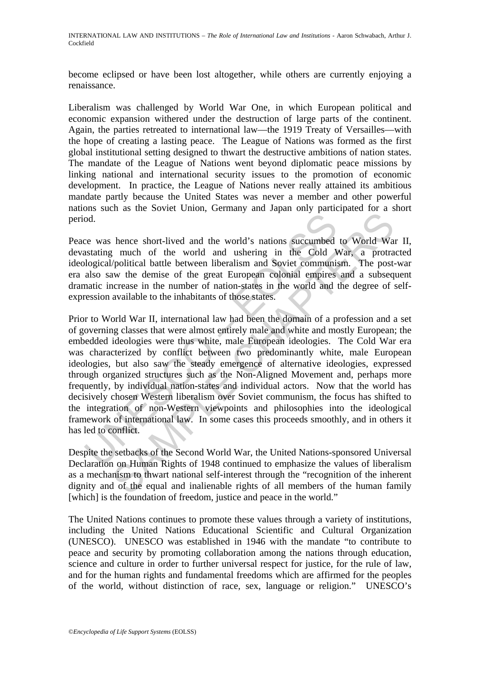INTERNATIONAL LAW AND INSTITUTIONS – *The Role of International Law and Institutions* - Aaron Schwabach, Arthur J. Cockfield

become eclipsed or have been lost altogether, while others are currently enjoying a renaissance.

Liberalism was challenged by World War One, in which European political and economic expansion withered under the destruction of large parts of the continent. Again, the parties retreated to international law—the 1919 Treaty of Versailles—with the hope of creating a lasting peace. The League of Nations was formed as the first global institutional setting designed to thwart the destructive ambitions of nation states. The mandate of the League of Nations went beyond diplomatic peace missions by linking national and international security issues to the promotion of economic development. In practice, the League of Nations never really attained its ambitious mandate partly because the United States was never a member and other powerful nations such as the Soviet Union, Germany and Japan only participated for a short period.

Peace was hence short-lived and the world's nations succumbed to World War II, devastating much of the world and ushering in the Cold War, a protracted ideological/political battle between liberalism and Soviet communism. The post-war era also saw the demise of the great European colonial empires and a subsequent dramatic increase in the number of nation-states in the world and the degree of selfexpression available to the inhabitants of those states.

od.<br>
The was hence short-lived and the world's nations succumbed<br>
astating much of the world and ushering in the Cold V<br>
ological/political battle between liberalism and Soviet communia<br>
also saw the demise of the great Eu The second world was the world was the second world was succumbed to World Warson and Sovietical battle between liberalism and Soviet communism. The post-<br>
"/political battle between liberalism and Soviet communism. The po Prior to World War II, international law had been the domain of a profession and a set of governing classes that were almost entirely male and white and mostly European; the embedded ideologies were thus white, male European ideologies. The Cold War era was characterized by conflict between two predominantly white, male European ideologies, but also saw the steady emergence of alternative ideologies, expressed through organized structures such as the Non-Aligned Movement and, perhaps more frequently, by individual nation-states and individual actors. Now that the world has decisively chosen Western liberalism over Soviet communism, the focus has shifted to the integration of non-Western viewpoints and philosophies into the ideological framework of international law. In some cases this proceeds smoothly, and in others it has led to conflict.

Despite the setbacks of the Second World War, the United Nations-sponsored Universal Declaration on Human Rights of 1948 continued to emphasize the values of liberalism as a mechanism to thwart national self-interest through the "recognition of the inherent dignity and of the equal and inalienable rights of all members of the human family [which] is the foundation of freedom, justice and peace in the world."

The United Nations continues to promote these values through a variety of institutions, including the United Nations Educational Scientific and Cultural Organization (UNESCO). UNESCO was established in 1946 with the mandate "to contribute to peace and security by promoting collaboration among the nations through education, science and culture in order to further universal respect for justice, for the rule of law, and for the human rights and fundamental freedoms which are affirmed for the peoples of the world, without distinction of race, sex, language or religion." UNESCO's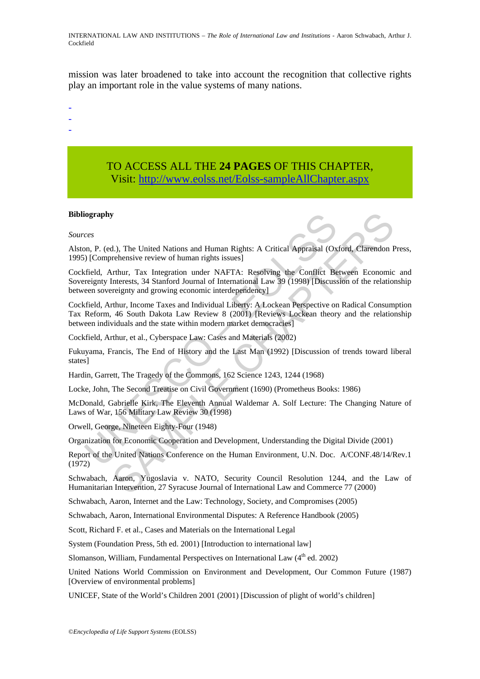INTERNATIONAL LAW AND INSTITUTIONS – *The Role of International Law and Institutions* - Aaron Schwabach, Arthur J. Cockfield

mission was later broadened to take into account the recognition that collective rights play an important role in the value systems of many nations.

- -
- -
- -

# TO ACCESS ALL THE **24 PAGES** OF THIS CHAPTER, Visit[: http://www.eolss.net/Eolss-sampleAllChapter.aspx](https://www.eolss.net/ebooklib/sc_cart.aspx?File=E1-36)

### **Bibliography**

#### *Sources*

Alston, P. (ed.), The United Nations and Human Rights: A Critical Appraisal (Oxford, Clarendon Press, 1995) [Comprehensive review of human rights issues]

readenty<br>
orgraphy<br>
on, P. (ed.), The United Nations and Human Rights: A Critical Appraisal (Ox<br>
b) [Comprehensive review of human rights issues]<br>
frield, Arthur, Tax Integration under NAFTA: Resolving the Conflict Be<br>
rec STREET United Nations and Human Rights: A Critical Appraisal (Oxford, Charendon Frehensive review of human rights issues]<br>
Strehtmer, Tax Integration under NAFTA: Resolving the Conflict Between Economic<br>
Interests, 34 Stan Cockfield, Arthur, Tax Integration under NAFTA: Resolving the Conflict Between Economic and Sovereignty Interests, 34 Stanford Journal of International Law 39 (1998) [Discussion of the relationship between sovereignty and growing economic interdependency]

Cockfield, Arthur, Income Taxes and Individual Liberty: A Lockean Perspective on Radical Consumption Tax Reform, 46 South Dakota Law Review 8 (2001) [Reviews Lockean theory and the relationship between individuals and the state within modern market democracies]

Cockfield, Arthur, et al., Cyberspace Law: Cases and Materials (2002)

Fukuyama, Francis, The End of History and the Last Man (1992) [Discussion of trends toward liberal states]

Hardin, Garrett, The Tragedy of the Commons, 162 Science 1243, 1244 (1968)

Locke, John, The Second Treatise on Civil Government (1690) (Prometheus Books: 1986)

McDonald, Gabrielle Kirk, The Eleventh Annual Waldemar A. Solf Lecture: The Changing Nature of Laws of War, 156 Military Law Review 30 (1998)

Orwell, George, Nineteen Eighty-Four (1948)

Organization for Economic Cooperation and Development, Understanding the Digital Divide (2001)

Report of the United Nations Conference on the Human Environment, U.N. Doc. A/CONF.48/14/Rev.1 (1972)

Schwabach, Aaron, Yugoslavia v. NATO, Security Council Resolution 1244, and the Law of Humanitarian Intervention, 27 Syracuse Journal of International Law and Commerce 77 (2000)

Schwabach, Aaron, Internet and the Law: Technology, Society, and Compromises (2005)

Schwabach, Aaron, International Environmental Disputes: A Reference Handbook (2005)

Scott, Richard F. et al., Cases and Materials on the International Legal

System (Foundation Press, 5th ed. 2001) [Introduction to international law]

Slomanson, William, Fundamental Perspectives on International Law (4<sup>th</sup> ed. 2002)

United Nations World Commission on Environment and Development, Our Common Future (1987) [Overview of environmental problems]

UNICEF, State of the World's Children 2001 (2001) [Discussion of plight of world's children]